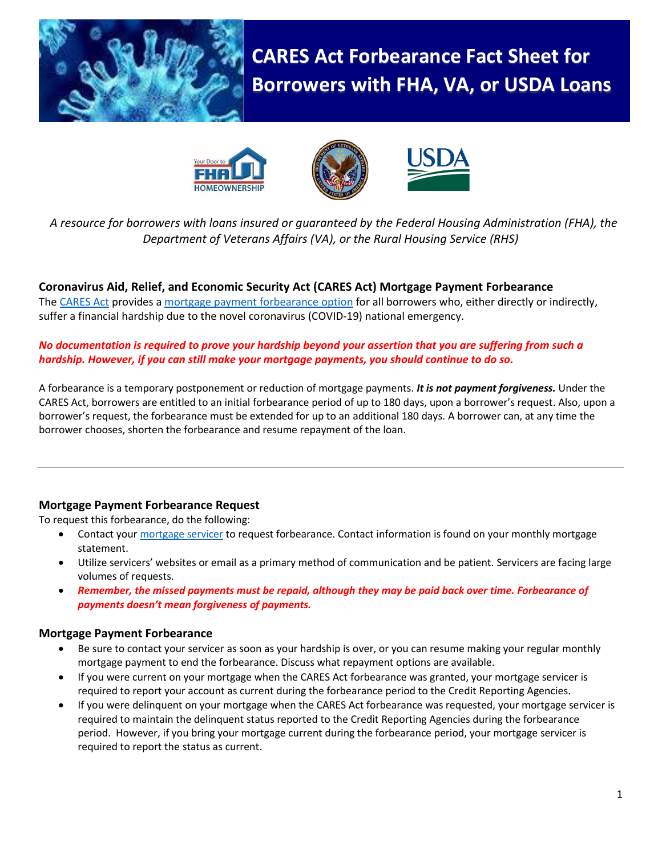

# **CARES Act Forbearance Fact Sheet for Borrowers with FHA, VA, or USDA Loans**







# *A resource for borrowers with loans insured or guaranteed by the Federal Housing Administration (FHA), the Department of Veterans Affairs (VA), or the Rural Housing Service (RHS)*

**Coronavirus Aid, Relief, and Economic Security Act (CARES Act) Mortgage Payment Forbearance** The [CARES Act](https://www.congress.gov/bill/116th-congress/house-bill/748/text?format=txt) provides a mortgage payment [forbearance option](https://youtu.be/br5EPugsnLs) for all borrowers who, either directly or indirectly, suffer a financial hardship due to the novel coronavirus (COVID-19) national emergency.

# *No documentation is required to prove your hardship beyond your assertion that you are suffering from such a hardship. However, if you can still make your mortgage payments, you should continue to do so.*

A forbearance is a temporary postponement or reduction of mortgage payments. *It is not payment forgiveness.* Under the CARES Act, borrowers are entitled to an initial forbearance period of up to 180 days, upon a borrower's request. Also, upon a borrower's request, the forbearance must be extended for up to an additional 180 days. A borrower can, at any time the borrower chooses, shorten the forbearance and resume repayment of the loan.

# **Mortgage Payment Forbearance Request**

To request this forbearance, do the following:

- Contact you[r mortgage servicer](https://www.mers-servicerid.org/sis/common/search) to request forbearance. Contact information is found on your monthly mortgage statement.
- Utilize servicers' websites or email as a primary method of communication and be patient. Servicers are facing large volumes of requests.
- *Remember, the missed payments must be repaid, although they may be paid back over time. Forbearance of payments doesn't mean forgiveness of payments.*

## **Mortgage Payment Forbearance**

- Be sure to contact your servicer as soon as your hardship is over, or you can resume making your regular monthly mortgage payment to end the forbearance. Discuss what repayment options are available.
- If you were current on your mortgage when the CARES Act forbearance was granted, your mortgage servicer is required to report your account as current during the forbearance period to the Credit Reporting Agencies.
- If you were delinquent on your mortgage when the CARES Act forbearance was requested, your mortgage servicer is required to maintain the delinquent status reported to the Credit Reporting Agencies during the forbearance period. However, if you bring your mortgage current during the forbearance period, your mortgage servicer is required to report the status as current.